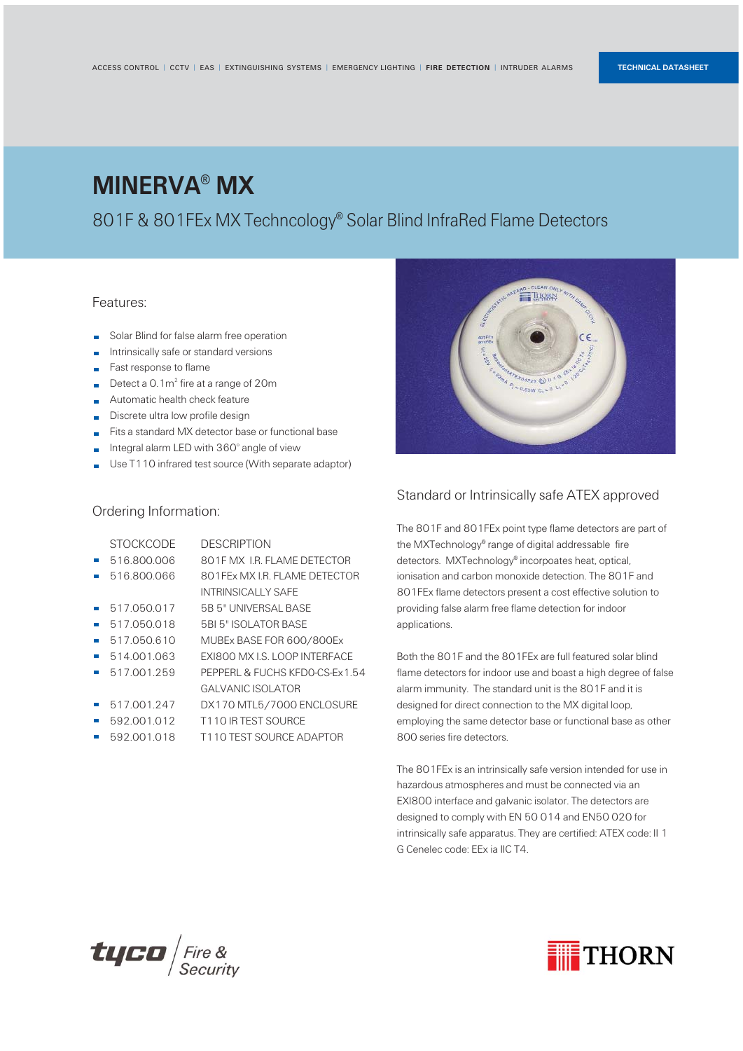### MINERVA® MX

### 801F & 801FEx MX Techncology® Solar Blind InfraRed Flame Detectors

### Standard or Intrinsically safe ATEX approved

The 801F and 801FEx point type flame detectors are part of the MXTechnology® range of digital addressable fire detectors. MXTechnology® incorpoates heat, optical, ionisation and carbon monoxide detection. The 801F and 801FEx flame detectors present a cost effective solution to providing false alarm free flame detection for indoor applications.

- Solar Blind for false alarm free operation T.
- Intrinsically safe or standard versions ×
- Fast response to flame ×
- Detect a  $0.1<sup>2</sup>$  fire at a range of 20m ×
- Automatic health check feature ×
- Discrete ultra low profile design ×
- Fits a standard MX detector base or functional base ×
- Integral alarm LED with 360° angle of view ×
- Use T110 infrared test source (With separate adaptor) r.

Both the 801F and the 801FEx are full featured solar blind flame detectors for indoor use and boast a high degree of false alarm immunity. The standard unit is the 801F and it is designed for direct connection to the MX digital loop, employing the same detector base or functional base as other 800 series fire detectors.

The 801FEx is an intrinsically safe version intended for use in hazardous atmospheres and must be connected via an

EXI800 interface and galvanic isolator. The detectors are designed to comply with EN 50 014 and EN50 020 for intrinsically safe apparatus. They are certified: ATEX code: II 1 G Cenelec code: EEx ia IIC T4.





#### Features:

#### Ordering Information:

| <b>STOCKCODE</b>                                                                                                                                                                                                                                                                                          | <b>DESCRIPTION</b>             |
|-----------------------------------------------------------------------------------------------------------------------------------------------------------------------------------------------------------------------------------------------------------------------------------------------------------|--------------------------------|
| 516.800.006                                                                                                                                                                                                                                                                                               | 801F MX LR FLAME DETECTOR      |
| 516.800.066                                                                                                                                                                                                                                                                                               | 801FEx MX I.R. FLAME DETECTOR  |
|                                                                                                                                                                                                                                                                                                           | INTRINSICALLY SAFE             |
| 517.050.017                                                                                                                                                                                                                                                                                               | 5B 5" UNIVERSAL BASE           |
| 517.050.018                                                                                                                                                                                                                                                                                               | 5BI 5" ISOLATOR BASE           |
| 517.050.610                                                                                                                                                                                                                                                                                               | MUBEx BASE FOR 600/800Ex       |
| 514001063                                                                                                                                                                                                                                                                                                 | EXI800 MX I.S. LOOP INTERFACE  |
| 517.001.259                                                                                                                                                                                                                                                                                               | PEPPERL & FUCHS KFDO-CS-Ex1.54 |
|                                                                                                                                                                                                                                                                                                           | GAI VANIC ISOI ATOR            |
| 517.001.247                                                                                                                                                                                                                                                                                               | DX170 MTL5/7000 ENCLOSURE      |
| 592.001.012                                                                                                                                                                                                                                                                                               | T110 IR TEST SOURCE            |
| $ \sqrt{2}$ $\sqrt{2}$ $\sqrt{2}$ $\sqrt{2}$ $\sqrt{2}$ $\sqrt{2}$ $\sqrt{2}$ $\sqrt{2}$ $\sqrt{2}$ $\sqrt{2}$ $\sqrt{2}$ $\sqrt{2}$ $\sqrt{2}$ $\sqrt{2}$ $\sqrt{2}$ $\sqrt{2}$ $\sqrt{2}$ $\sqrt{2}$ $\sqrt{2}$ $\sqrt{2}$ $\sqrt{2}$ $\sqrt{2}$ $\sqrt{2}$ $\sqrt{2}$ $\sqrt{2}$ $\sqrt{2}$ $\sqrt{2}$ | T110 TECT COURCE ADAPTOR       |